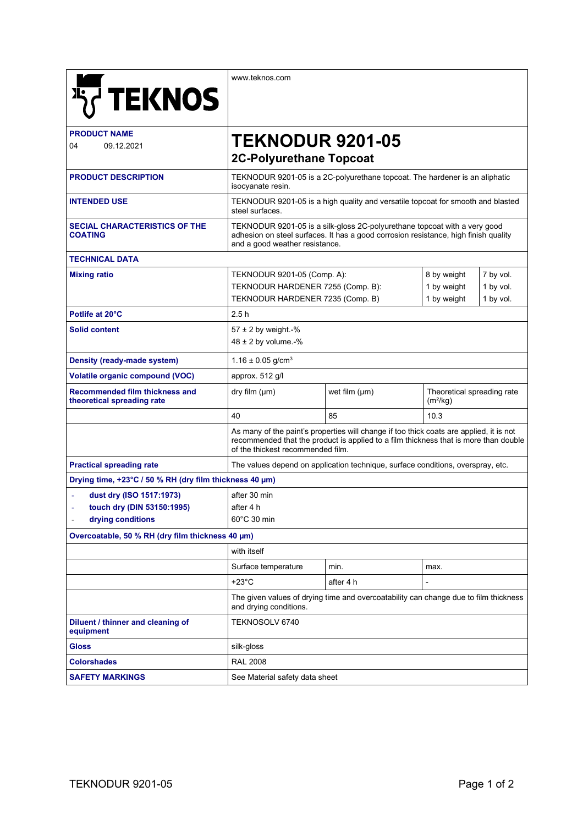|                                                              | www.teknos.com                                                                                                                                                                                                       |                    |                                                    |                        |
|--------------------------------------------------------------|----------------------------------------------------------------------------------------------------------------------------------------------------------------------------------------------------------------------|--------------------|----------------------------------------------------|------------------------|
| <b>将TEKNOS</b>                                               |                                                                                                                                                                                                                      |                    |                                                    |                        |
| <b>PRODUCT NAME</b><br>04                                    | <b>TEKNODUR 9201-05</b>                                                                                                                                                                                              |                    |                                                    |                        |
| 09.12.2021                                                   | <b>2C-Polyurethane Topcoat</b>                                                                                                                                                                                       |                    |                                                    |                        |
| <b>PRODUCT DESCRIPTION</b>                                   | TEKNODUR 9201-05 is a 2C-polyurethane topcoat. The hardener is an aliphatic<br>isocyanate resin.                                                                                                                     |                    |                                                    |                        |
| <b>INTENDED USE</b>                                          | TEKNODUR 9201-05 is a high quality and versatile topcoat for smooth and blasted<br>steel surfaces.                                                                                                                   |                    |                                                    |                        |
| <b>SECIAL CHARACTERISTICS OF THE</b><br><b>COATING</b>       | TEKNODUR 9201-05 is a silk-gloss 2C-polyurethane topcoat with a very good<br>adhesion on steel surfaces. It has a good corrosion resistance, high finish quality<br>and a good weather resistance.                   |                    |                                                    |                        |
| <b>TECHNICAL DATA</b>                                        |                                                                                                                                                                                                                      |                    |                                                    |                        |
| <b>Mixing ratio</b>                                          | TEKNODUR 9201-05 (Comp. A):                                                                                                                                                                                          |                    | 8 by weight                                        | 7 by vol.              |
|                                                              | TEKNODUR HARDENER 7255 (Comp. B):                                                                                                                                                                                    |                    | 1 by weight<br>1 by weight                         | 1 by vol.<br>1 by vol. |
| Potlife at 20°C                                              | TEKNODUR HARDENER 7235 (Comp. B)<br>2.5h                                                                                                                                                                             |                    |                                                    |                        |
| <b>Solid content</b>                                         | 57 $\pm$ 2 by weight.-%<br>$48 \pm 2$ by volume.-%                                                                                                                                                                   |                    |                                                    |                        |
| Density (ready-made system)                                  | 1.16 $\pm$ 0.05 g/cm <sup>3</sup>                                                                                                                                                                                    |                    |                                                    |                        |
| <b>Volatile organic compound (VOC)</b>                       | approx. 512 g/l                                                                                                                                                                                                      |                    |                                                    |                        |
| Recommended film thickness and<br>theoretical spreading rate | dry film (µm)                                                                                                                                                                                                        | wet film $(\mu m)$ | Theoretical spreading rate<br>(m <sup>2</sup> /kg) |                        |
|                                                              | 40                                                                                                                                                                                                                   | 85                 | 10.3                                               |                        |
|                                                              | As many of the paint's properties will change if too thick coats are applied, it is not<br>recommended that the product is applied to a film thickness that is more than double<br>of the thickest recommended film. |                    |                                                    |                        |
| <b>Practical spreading rate</b>                              | The values depend on application technique, surface conditions, overspray, etc.                                                                                                                                      |                    |                                                    |                        |
| Drying time, +23°C / 50 % RH (dry film thickness 40 µm)      |                                                                                                                                                                                                                      |                    |                                                    |                        |
| dust dry (ISO 1517:1973)                                     | after 30 min                                                                                                                                                                                                         |                    |                                                    |                        |
| touch dry (DIN 53150:1995)<br>drying conditions              | after 4 h<br>60°C 30 min                                                                                                                                                                                             |                    |                                                    |                        |
| Overcoatable, 50 % RH (dry film thickness 40 µm)             |                                                                                                                                                                                                                      |                    |                                                    |                        |
|                                                              | with itself                                                                                                                                                                                                          |                    |                                                    |                        |
|                                                              | Surface temperature                                                                                                                                                                                                  | min.               | max.                                               |                        |
|                                                              | $+23^{\circ}$ C                                                                                                                                                                                                      | after 4 h          |                                                    |                        |
|                                                              | The given values of drying time and overcoatability can change due to film thickness<br>and drying conditions.                                                                                                       |                    |                                                    |                        |
| Diluent / thinner and cleaning of<br>equipment               | TEKNOSOLV 6740                                                                                                                                                                                                       |                    |                                                    |                        |
| <b>Gloss</b>                                                 | silk-gloss                                                                                                                                                                                                           |                    |                                                    |                        |
| <b>Colorshades</b>                                           | <b>RAL 2008</b>                                                                                                                                                                                                      |                    |                                                    |                        |
| <b>SAFETY MARKINGS</b>                                       | See Material safety data sheet                                                                                                                                                                                       |                    |                                                    |                        |